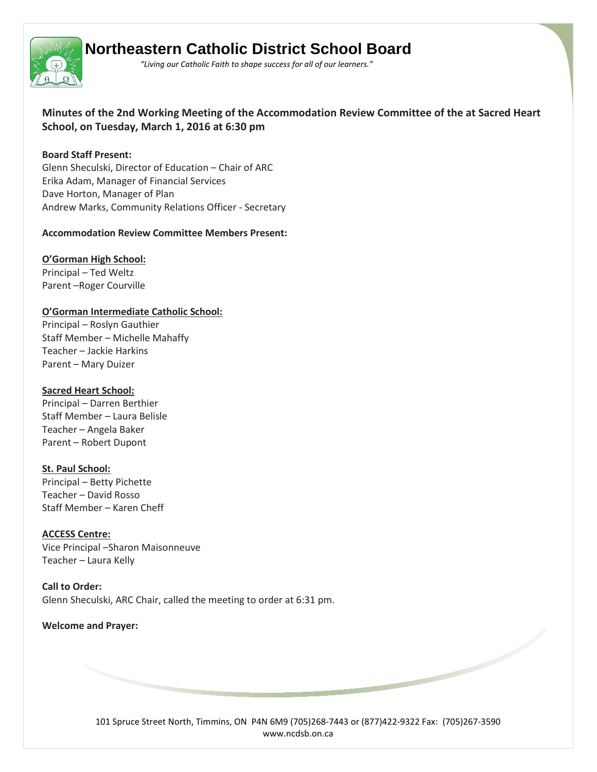

# **Northeastern Catholic District School Board**

 *"Living our Catholic Faith to shape success for all of our learners."*

**Minutes of the 2nd Working Meeting of the Accommodation Review Committee of the at Sacred Heart School, on Tuesday, March 1, 2016 at 6:30 pm** 

## **Board Staff Present:**

Glenn Sheculski, Director of Education – Chair of ARC Erika Adam, Manager of Financial Services Dave Horton, Manager of Plan Andrew Marks, Community Relations Officer - Secretary

## **Accommodation Review Committee Members Present:**

# **O'Gorman High School:**

Principal – Ted Weltz Parent –Roger Courville

# **O'Gorman Intermediate Catholic School:**

Principal – Roslyn Gauthier Staff Member – Michelle Mahaffy Teacher – Jackie Harkins Parent – Mary Duizer

## **Sacred Heart School:**

Principal – Darren Berthier Staff Member – Laura Belisle Teacher – Angela Baker Parent – Robert Dupont

# **St. Paul School:**

Principal – Betty Pichette Teacher – David Rosso Staff Member – Karen Cheff

**ACCESS Centre:** Vice Principal –Sharon Maisonneuve Teacher – Laura Kelly

**Call to Order:** Glenn Sheculski, ARC Chair, called the meeting to order at 6:31 pm.

# **Welcome and Prayer:**

101 Spruce Street North, Timmins, ON P4N 6M9 (705)268-7443 or (877)422-9322 Fax: (705)267-3590 www.ncdsb.on.ca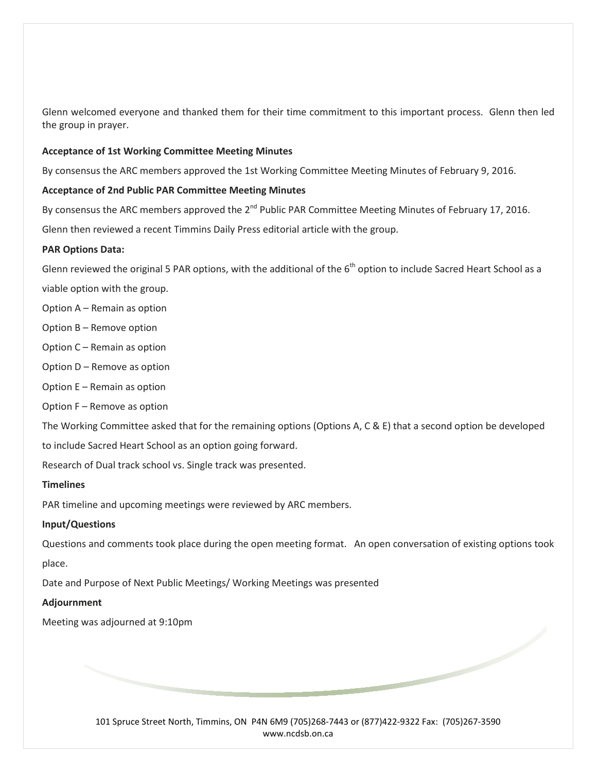Glenn welcomed everyone and thanked them for their time commitment to this important process. Glenn then led the group in prayer.

#### **Acceptance of 1st Working Committee Meeting Minutes**

By consensus the ARC members approved the 1st Working Committee Meeting Minutes of February 9, 2016.

## **Acceptance of 2nd Public PAR Committee Meeting Minutes**

By consensus the ARC members approved the 2<sup>nd</sup> Public PAR Committee Meeting Minutes of February 17, 2016.

Glenn then reviewed a recent Timmins Daily Press editorial article with the group.

## **PAR Options Data:**

Glenn reviewed the original 5 PAR options, with the additional of the  $6<sup>th</sup>$  option to include Sacred Heart School as a

viable option with the group.

- Option A Remain as option
- Option B Remove option
- Option C Remain as option
- Option D Remove as option
- Option E Remain as option
- Option F Remove as option

The Working Committee asked that for the remaining options (Options A, C & E) that a second option be developed to include Sacred Heart School as an option going forward.

Research of Dual track school vs. Single track was presented.

#### **Timelines**

PAR timeline and upcoming meetings were reviewed by ARC members.

#### **Input/Questions**

Questions and comments took place during the open meeting format. An open conversation of existing options took place.

Date and Purpose of Next Public Meetings/ Working Meetings was presented

#### **Adjournment**

Meeting was adjourned at 9:10pm

101 Spruce Street North, Timmins, ON P4N 6M9 (705)268-7443 or (877)422-9322 Fax: (705)267-3590 www.ncdsb.on.ca